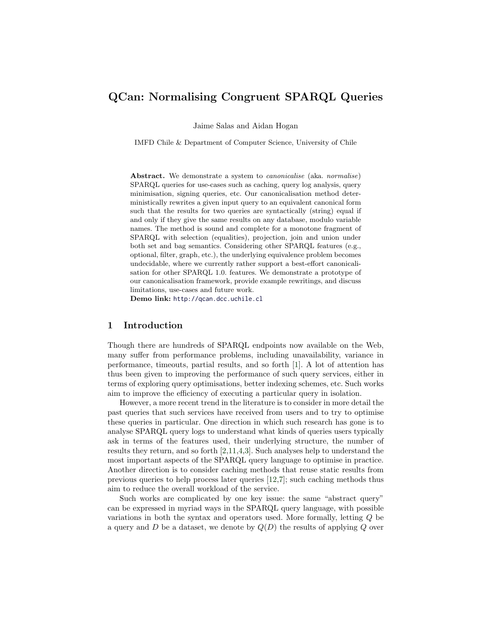# QCan: Normalising Congruent SPARQL Queries

Jaime Salas and Aidan Hogan

IMFD Chile & Department of Computer Science, University of Chile

Abstract. We demonstrate a system to *canonicalise* (aka. *normalise*) SPARQL queries for use-cases such as caching, query log analysis, query minimisation, signing queries, etc. Our canonicalisation method deterministically rewrites a given input query to an equivalent canonical form such that the results for two queries are syntactically (string) equal if and only if they give the same results on any database, modulo variable names. The method is sound and complete for a monotone fragment of SPARQL with selection (equalities), projection, join and union under both set and bag semantics. Considering other SPARQL features (e.g., optional, filter, graph, etc.), the underlying equivalence problem becomes undecidable, where we currently rather support a best-effort canonicalisation for other SPARQL 1.0. features. We demonstrate a prototype of our canonicalisation framework, provide example rewritings, and discuss limitations, use-cases and future work.

Demo link: <http://qcan.dcc.uchile.cl>

#### 1 Introduction

Though there are hundreds of SPARQL endpoints now available on the Web, many suffer from performance problems, including unavailability, variance in performance, timeouts, partial results, and so forth [\[1\]](#page-3-0). A lot of attention has thus been given to improving the performance of such query services, either in terms of exploring query optimisations, better indexing schemes, etc. Such works aim to improve the efficiency of executing a particular query in isolation.

However, a more recent trend in the literature is to consider in more detail the past queries that such services have received from users and to try to optimise these queries in particular. One direction in which such research has gone is to analyse SPARQL query logs to understand what kinds of queries users typically ask in terms of the features used, their underlying structure, the number of results they return, and so forth [\[2](#page-3-1)[,11,](#page-3-2)[4,](#page-3-3)[3\]](#page-3-4). Such analyses help to understand the most important aspects of the SPARQL query language to optimise in practice. Another direction is to consider caching methods that reuse static results from previous queries to help process later queries [\[12,](#page-3-5)[7\]](#page-3-6); such caching methods thus aim to reduce the overall workload of the service.

Such works are complicated by one key issue: the same "abstract query" can be expressed in myriad ways in the SPARQL query language, with possible variations in both the syntax and operators used. More formally, letting Q be a query and D be a dataset, we denote by  $Q(D)$  the results of applying Q over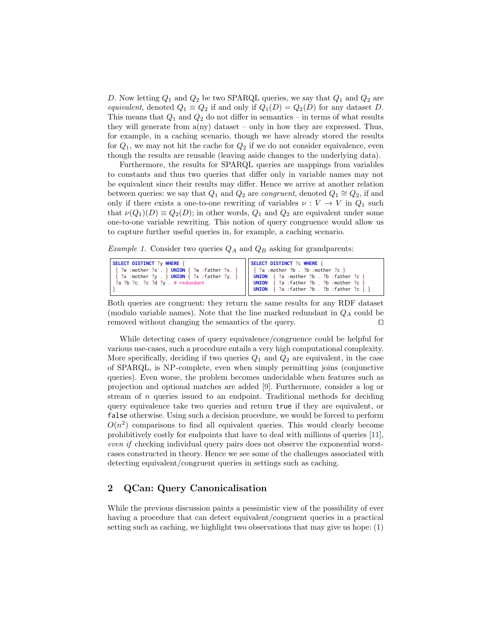D. Now letting  $Q_1$  and  $Q_2$  be two SPARQL queries, we say that  $Q_1$  and  $Q_2$  are equivalent, denoted  $Q_1 \equiv Q_2$  if and only if  $Q_1(D) = Q_2(D)$  for any dataset D. This means that  $Q_1$  and  $Q_2$  do not differ in semantics – in terms of what results they will generate from  $a(ny)$  dataset – only in how they are expressed. Thus, for example, in a caching scenario, though we have already stored the results for  $Q_1$ , we may not hit the cache for  $Q_2$  if we do not consider equivalence, even though the results are reusable (leaving aside changes to the underlying data).

Furthermore, the results for SPARQL queries are mappings from variables to constants and thus two queries that differ only in variable names may not be equivalent since their results may differ. Hence we arrive at another relation between queries: we say that  $Q_1$  and  $Q_2$  are *congruent*, denoted  $Q_1 \cong Q_2$ , if and only if there exists a one-to-one rewriting of variables  $\nu: V \to V$  in  $Q_1$  such that  $\nu(Q_1)(D) \equiv Q_2(D)$ ; in other words,  $Q_1$  and  $Q_2$  are equivalent under some one-to-one variable rewriting. This notion of query congruence would allow us to capture further useful queries in, for example, a caching scenario.

<span id="page-1-0"></span>*Example 1.* Consider two queries  $Q_A$  and  $Q_B$  asking for grandparents:

| SELECT DISTINCT ?y WHERE {                                                                                                        | SELECT DISTINCT ?c WHERE {                           |
|-----------------------------------------------------------------------------------------------------------------------------------|------------------------------------------------------|
| $\{ ?w : \text{mother } ?x : \}$ UNION $\{ ?w : \text{father } ?x : \}$   $\{ ?a : \text{mother } ?b : \text{?b : mother } ?c \}$ |                                                      |
| $\{?x : mother ?y : } UNION \{?x : father ?y. \}    UNION \{?a : mother ?b . ?b : father ?c \}$                                   |                                                      |
| ?a ?b ?c. ?c ?d ?y . # redundant                                                                                                  | <b>UNION</b> $\{ ?a : father ?b : ?b : mother ?c \}$ |
|                                                                                                                                   | <b>UNION</b> $\{ ?a : father ?b : ?b : father ?c \}$ |

Both queries are congruent: they return the same results for any RDF dataset (modulo variable names). Note that the line marked redundant in  $Q_A$  could be removed without changing the semantics of the query.  $\Box$ 

While detecting cases of query equivalence/congruence could be helpful for various use-cases, such a procedure entails a very high computational complexity. More specifically, deciding if two queries  $Q_1$  and  $Q_2$  are equivalent, in the case of SPARQL, is NP-complete, even when simply permitting joins (conjunctive queries). Even worse, the problem becomes undecidable when features such as projection and optional matches are added [\[9\]](#page-3-7). Furthermore, consider a log or stream of  $n$  queries issued to an endpoint. Traditional methods for deciding query equivalence take two queries and return true if they are equivalent, or false otherwise. Using such a decision procedure, we would be forced to perform  $O(n^2)$  comparisons to find all equivalent queries. This would clearly become prohibitively costly for endpoints that have to deal with millions of queries [\[11\]](#page-3-2), even if checking individual query pairs does not observe the exponential worstcases constructed in theory. Hence we see some of the challenges associated with detecting equivalent/congruent queries in settings such as caching.

### 2 QCan: Query Canonicalisation

While the previous discussion paints a pessimistic view of the possibility of ever having a procedure that can detect equivalent/congruent queries in a practical setting such as caching, we highlight two observations that may give us hope: (1)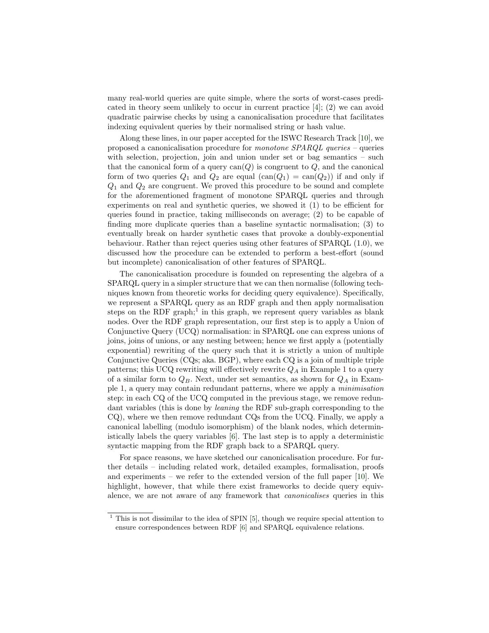many real-world queries are quite simple, where the sorts of worst-cases predicated in theory seem unlikely to occur in current practice [\[4\]](#page-3-3); (2) we can avoid quadratic pairwise checks by using a canonicalisation procedure that facilitates indexing equivalent queries by their normalised string or hash value.

Along these lines, in our paper accepted for the ISWC Research Track [\[10\]](#page-3-8), we proposed a canonicalisation procedure for monotone SPARQL queries – queries with selection, projection, join and union under set or bag semantics – such that the canonical form of a query  $can(Q)$  is congruent to  $Q$ , and the canonical form of two queries  $Q_1$  and  $Q_2$  are equal  $(\text{can}(Q_1) = \text{can}(Q_2))$  if and only if  $Q_1$  and  $Q_2$  are congruent. We proved this procedure to be sound and complete for the aforementioned fragment of monotone SPARQL queries and through experiments on real and synthetic queries, we showed it (1) to be efficient for queries found in practice, taking milliseconds on average; (2) to be capable of finding more duplicate queries than a baseline syntactic normalisation; (3) to eventually break on harder synthetic cases that provoke a doubly-exponential behaviour. Rather than reject queries using other features of SPARQL (1.0), we discussed how the procedure can be extended to perform a best-effort (sound but incomplete) canonicalisation of other features of SPARQL.

The canonicalisation procedure is founded on representing the algebra of a SPARQL query in a simpler structure that we can then normalise (following techniques known from theoretic works for deciding query equivalence). Specifically, we represent a SPARQL query as an RDF graph and then apply normalisation steps on the RDF graph;<sup>[1](#page-2-0)</sup> in this graph, we represent query variables as blank nodes. Over the RDF graph representation, our first step is to apply a Union of Conjunctive Query (UCQ) normalisation: in SPARQL one can express unions of joins, joins of unions, or any nesting between; hence we first apply a (potentially exponential) rewriting of the query such that it is strictly a union of multiple Conjunctive Queries (CQs; aka. BGP), where each CQ is a join of multiple triple patterns; this UCQ rewriting will effectively rewrite  $Q_A$  in Example [1](#page-1-0) to a query of a similar form to  $Q_B$ . Next, under set semantics, as shown for  $Q_A$  in Example [1,](#page-1-0) a query may contain redundant patterns, where we apply a minimisation step: in each CQ of the UCQ computed in the previous stage, we remove redundant variables (this is done by leaning the RDF sub-graph corresponding to the CQ), where we then remove redundant CQs from the UCQ. Finally, we apply a canonical labelling (modulo isomorphism) of the blank nodes, which deterministically labels the query variables [\[6\]](#page-3-9). The last step is to apply a deterministic syntactic mapping from the RDF graph back to a SPARQL query.

For space reasons, we have sketched our canonicalisation procedure. For further details – including related work, detailed examples, formalisation, proofs and experiments – we refer to the extended version of the full paper [\[10\]](#page-3-8). We highlight, however, that while there exist frameworks to decide query equivalence, we are not aware of any framework that canonicalises queries in this

<span id="page-2-0"></span> $1$  This is not dissimilar to the idea of SPIN [\[5\]](#page-3-10), though we require special attention to ensure correspondences between RDF [\[6\]](#page-3-9) and SPARQL equivalence relations.